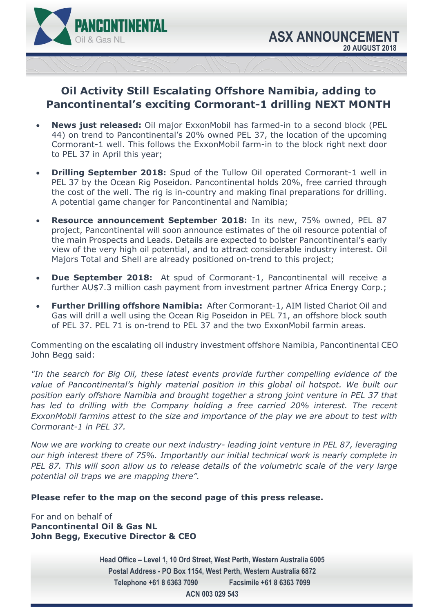

# **Oil Activity Still Escalating Offshore Namibia, adding to Pancontinental's exciting Cormorant-1 drilling NEXT MONTH**

- **News just released:** Oil major ExxonMobil has farmed-in to a second block (PEL 44) on trend to Pancontinental's 20% owned PEL 37, the location of the upcoming Cormorant-1 well. This follows the ExxonMobil farm-in to the block right next door to PEL 37 in April this year;
- **Drilling September 2018:** Spud of the Tullow Oil operated Cormorant-1 well in PEL 37 by the Ocean Rig Poseidon. Pancontinental holds 20%, free carried through the cost of the well. The rig is in-country and making final preparations for drilling. A potential game changer for Pancontinental and Namibia;
- **Resource announcement September 2018:** In its new, 75% owned, PEL 87 project, Pancontinental will soon announce estimates of the oil resource potential of the main Prospects and Leads. Details are expected to bolster Pancontinental's early view of the very high oil potential, and to attract considerable industry interest. Oil Majors Total and Shell are already positioned on-trend to this project;
- **Due September 2018:** At spud of Cormorant-1, Pancontinental will receive a further AU\$7.3 million cash payment from investment partner Africa Energy Corp.;
- **Further Drilling offshore Namibia:** After Cormorant-1, AIM listed Chariot Oil and Gas will drill a well using the Ocean Rig Poseidon in PEL 71, an offshore block south of PEL 37. PEL 71 is on-trend to PEL 37 and the two ExxonMobil farmin areas.

Commenting on the escalating oil industry investment offshore Namibia, Pancontinental CEO John Begg said:

*"In the search for Big Oil, these latest events provide further compelling evidence of the value of Pancontinental's highly material position in this global oil hotspot. We built our position early offshore Namibia and brought together a strong joint venture in PEL 37 that has led to drilling with the Company holding a free carried 20% interest. The recent ExxonMobil farmins attest to the size and importance of the play we are about to test with Cormorant-1 in PEL 37.* 

*Now we are working to create our next industry- leading joint venture in PEL 87, leveraging our high interest there of 75%. Importantly our initial technical work is nearly complete in PEL 87. This will soon allow us to release details of the volumetric scale of the very large potential oil traps we are mapping there".* 

## **Please refer to the map on the second page of this press release.**

For and on behalf of **Pancontinental Oil & Gas NL John Begg, Executive Director & CEO** 

> **Head Office – Level 1, 10 Ord Street, West Perth, Western Australia 6005 Postal Address - PO Box 1154, West Perth, Western Australia 6872 Telephone +61 8 6363 7090 Facsimile +61 8 6363 7099 ACN 003 029 543**